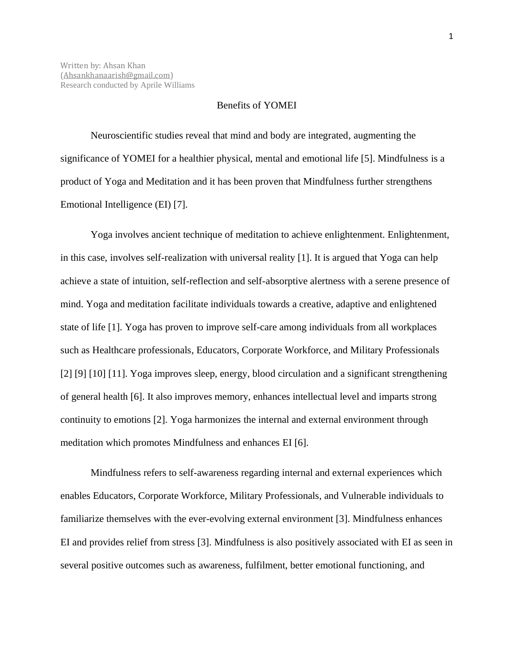## Benefits of YOMEI

Neuroscientific studies reveal that mind and body are integrated, augmenting the significance of YOMEI for a healthier physical, mental and emotional life [5]. Mindfulness is a product of Yoga and Meditation and it has been proven that Mindfulness further strengthens Emotional Intelligence (EI) [7].

Yoga involves ancient technique of meditation to achieve enlightenment. Enlightenment, in this case, involves self-realization with universal reality [1]. It is argued that Yoga can help achieve a state of intuition, self-reflection and self-absorptive alertness with a serene presence of mind. Yoga and meditation facilitate individuals towards a creative, adaptive and enlightened state of life [1]. Yoga has proven to improve self-care among individuals from all workplaces such as Healthcare professionals, Educators, Corporate Workforce, and Military Professionals [2] [9] [10] [11]. Yoga improves sleep, energy, blood circulation and a significant strengthening of general health [6]. It also improves memory, enhances intellectual level and imparts strong continuity to emotions [2]. Yoga harmonizes the internal and external environment through meditation which promotes Mindfulness and enhances EI [6].

Mindfulness refers to self-awareness regarding internal and external experiences which enables Educators, Corporate Workforce, Military Professionals, and Vulnerable individuals to familiarize themselves with the ever-evolving external environment [3]. Mindfulness enhances EI and provides relief from stress [3]. Mindfulness is also positively associated with EI as seen in several positive outcomes such as awareness, fulfilment, better emotional functioning, and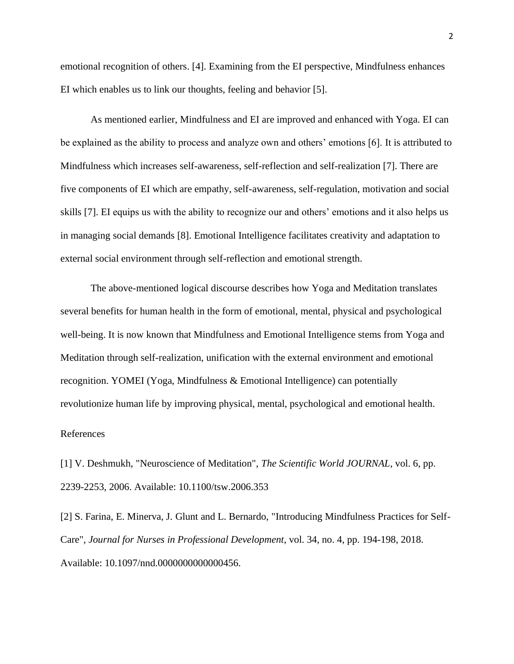emotional recognition of others. [4]. Examining from the EI perspective, Mindfulness enhances EI which enables us to link our thoughts, feeling and behavior [5].

As mentioned earlier, Mindfulness and EI are improved and enhanced with Yoga. EI can be explained as the ability to process and analyze own and others' emotions [6]. It is attributed to Mindfulness which increases self-awareness, self-reflection and self-realization [7]. There are five components of EI which are empathy, self-awareness, self-regulation, motivation and social skills [7]. EI equips us with the ability to recognize our and others' emotions and it also helps us in managing social demands [8]. Emotional Intelligence facilitates creativity and adaptation to external social environment through self-reflection and emotional strength.

The above-mentioned logical discourse describes how Yoga and Meditation translates several benefits for human health in the form of emotional, mental, physical and psychological well-being. It is now known that Mindfulness and Emotional Intelligence stems from Yoga and Meditation through self-realization, unification with the external environment and emotional recognition. YOMEI (Yoga, Mindfulness & Emotional Intelligence) can potentially revolutionize human life by improving physical, mental, psychological and emotional health.

## References

[1] V. Deshmukh, "Neuroscience of Meditation", *The Scientific World JOURNAL*, vol. 6, pp. 2239-2253, 2006. Available: 10.1100/tsw.2006.353

[2] S. Farina, E. Minerva, J. Glunt and L. Bernardo, "Introducing Mindfulness Practices for Self-Care", *Journal for Nurses in Professional Development*, vol. 34, no. 4, pp. 194-198, 2018. Available: 10.1097/nnd.0000000000000456.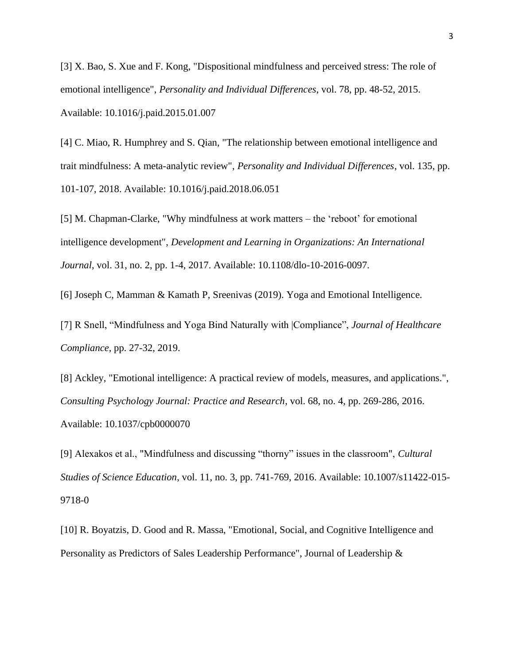[3] X. Bao, S. Xue and F. Kong, "Dispositional mindfulness and perceived stress: The role of emotional intelligence", *Personality and Individual Differences*, vol. 78, pp. 48-52, 2015. Available: 10.1016/j.paid.2015.01.007

[4] C. Miao, R. Humphrey and S. Qian, "The relationship between emotional intelligence and trait mindfulness: A meta-analytic review", *Personality and Individual Differences*, vol. 135, pp. 101-107, 2018. Available: 10.1016/j.paid.2018.06.051

[5] M. Chapman-Clarke, "Why mindfulness at work matters – the 'reboot' for emotional intelligence development", *Development and Learning in Organizations: An International Journal*, vol. 31, no. 2, pp. 1-4, 2017. Available: 10.1108/dlo-10-2016-0097.

[6] Joseph C, Mamman & Kamath P, Sreenivas (2019). Yoga and Emotional Intelligence.

[7] R Snell, "Mindfulness and Yoga Bind Naturally with |Compliance", *Journal of Healthcare Compliance,* pp. 27-32, 2019.

[8] Ackley, "Emotional intelligence: A practical review of models, measures, and applications.", *Consulting Psychology Journal: Practice and Research*, vol. 68, no. 4, pp. 269-286, 2016. Available: 10.1037/cpb0000070

[9] Alexakos et al., "Mindfulness and discussing "thorny" issues in the classroom", *Cultural Studies of Science Education*, vol. 11, no. 3, pp. 741-769, 2016. Available: 10.1007/s11422-015- 9718-0

[10] R. Boyatzis, D. Good and R. Massa, "Emotional, Social, and Cognitive Intelligence and Personality as Predictors of Sales Leadership Performance", Journal of Leadership &